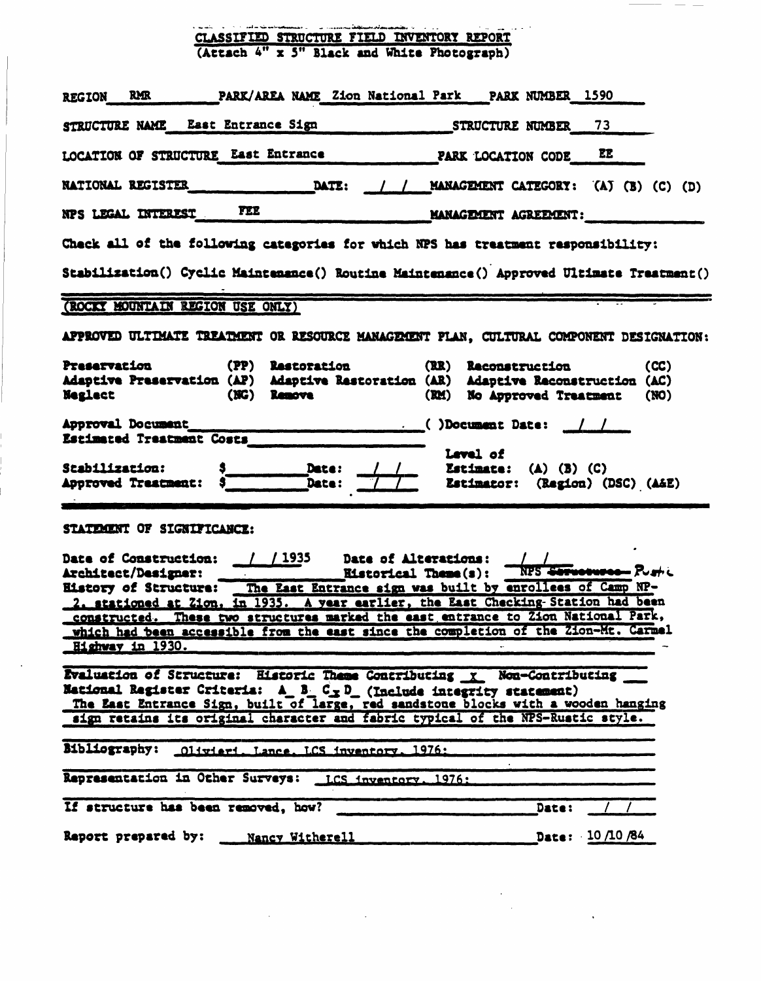| ala sannanan () - () anno 2012 anno 2014 anno 2014 anno 2014.<br>CLASSIFIED STRUCTURE FIELD INVENTORY REPORT<br>(Attach 4" x 5" Black and White Photograph)                                                                                                                                                                                                                                                                                                                                                       |  |  |  |  |  |  |
|-------------------------------------------------------------------------------------------------------------------------------------------------------------------------------------------------------------------------------------------------------------------------------------------------------------------------------------------------------------------------------------------------------------------------------------------------------------------------------------------------------------------|--|--|--|--|--|--|
|                                                                                                                                                                                                                                                                                                                                                                                                                                                                                                                   |  |  |  |  |  |  |
| PARK/AREA NAME Zion National Park PARK NUMBER 1590<br>REGION RMR                                                                                                                                                                                                                                                                                                                                                                                                                                                  |  |  |  |  |  |  |
| STRUCTURE NAME East Entrance Sign<br>73<br>STRUCTURE NUMBER                                                                                                                                                                                                                                                                                                                                                                                                                                                       |  |  |  |  |  |  |
| LOCATION OF STRUCTURE East Entrance<br>EE<br>PARK LOCATION CODE                                                                                                                                                                                                                                                                                                                                                                                                                                                   |  |  |  |  |  |  |
| DATE: / / MANAGEMENT CATEGORY: (A) (B) (C) (D)<br><b>NATIONAL REGISTER</b>                                                                                                                                                                                                                                                                                                                                                                                                                                        |  |  |  |  |  |  |
| NPS LEGAL INTEREST FEE<br>MANAGEMENT AGREEMENT:                                                                                                                                                                                                                                                                                                                                                                                                                                                                   |  |  |  |  |  |  |
| Check all of the following categories for which NPS has treatment responsibility:<br>Stabilization() Cyclic Maintenance() Routine Maintenance() Approved Ultimate Treatment()                                                                                                                                                                                                                                                                                                                                     |  |  |  |  |  |  |
| (ROCKY MOUNTAIN REGION USE ONLY)                                                                                                                                                                                                                                                                                                                                                                                                                                                                                  |  |  |  |  |  |  |
| APPROVED ULTIMATE TREATMENT OR RESOURCE MANAGEMENT PLAN, CULTURAL COMPONENT DESIGNATION:                                                                                                                                                                                                                                                                                                                                                                                                                          |  |  |  |  |  |  |
| Preservation (PP) Restoration<br>(CC)<br>(RR) Reconstruction<br>Adaptive Preservation (AP) Adaptive Restoration (AR) Adaptive Reconstruction (AC)<br>Neglect (NG) Remove<br>(RM) No Approved Treatment<br>(NO)                                                                                                                                                                                                                                                                                                    |  |  |  |  |  |  |
| Estimated Treatment Costs                                                                                                                                                                                                                                                                                                                                                                                                                                                                                         |  |  |  |  |  |  |
| Level of<br>Date:<br><b>Stabilization:</b><br><b>Estimate:</b> (A) (B) (C)<br><b>Estimator:</b> (Region) (DSC) (A&E)<br>Approved Treatment:<br>Date:                                                                                                                                                                                                                                                                                                                                                              |  |  |  |  |  |  |
| STATEMENT OF SIGNIFICANCE:                                                                                                                                                                                                                                                                                                                                                                                                                                                                                        |  |  |  |  |  |  |
| / 1935<br>Date of Construction: /<br>Date of Alterations:<br>NPS Serverwood - Pughi<br>Architect/Designer:<br><b>Historical Theme(s):</b><br>Eistory of Structure: The East Entrance sign was built by enrollees of Camp NP-<br>2. stationed at Zion, in 1935. A year earlier, the East Checking-Station had been<br>constructed. These two structures marked the east entrance to Zion National Park,<br>which had been accessible from the east since the completion of the Zion-Mt. Carmel<br>Highway in 1930. |  |  |  |  |  |  |
| Evaluation of Structure: Historic Theme Contributing x Non-Contributing<br>National Register Criteria: A_B_C_p_(Include integrity statement)<br>The East Entrance Sign, built of large, red sandstone blocks with a wooden hanging<br>sign retains its original character and fabric typical of the NPS-Rustic style.                                                                                                                                                                                             |  |  |  |  |  |  |
| Bibliography: 01ivieri. Lance. LCS inventory. 1976:                                                                                                                                                                                                                                                                                                                                                                                                                                                               |  |  |  |  |  |  |
| Representation in Other Surveys: LCS inventory. 1976:                                                                                                                                                                                                                                                                                                                                                                                                                                                             |  |  |  |  |  |  |
| If structure has been removed, how?<br>Date:                                                                                                                                                                                                                                                                                                                                                                                                                                                                      |  |  |  |  |  |  |
| Report prepared by:<br>Date: $10/10/84$<br>Nancy Witherell                                                                                                                                                                                                                                                                                                                                                                                                                                                        |  |  |  |  |  |  |

 $\sim$